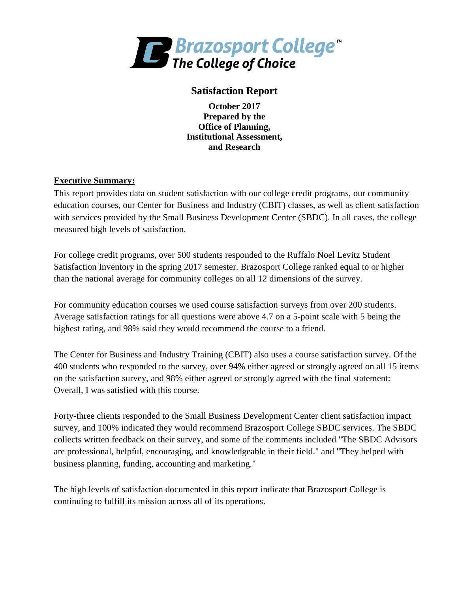

# **Satisfaction Report**

**October 2017 Prepared by the Office of Planning, Institutional Assessment, and Research**

#### **Executive Summary:**

This report provides data on student satisfaction with our college credit programs, our community education courses, our Center for Business and Industry (CBIT) classes, as well as client satisfaction with services provided by the Small Business Development Center (SBDC). In all cases, the college measured high levels of satisfaction.

For college credit programs, over 500 students responded to the Ruffalo Noel Levitz Student Satisfaction Inventory in the spring 2017 semester. Brazosport College ranked equal to or higher than the national average for community colleges on all 12 dimensions of the survey.

For community education courses we used course satisfaction surveys from over 200 students. Average satisfaction ratings for all questions were above 4.7 on a 5-point scale with 5 being the highest rating, and 98% said they would recommend the course to a friend.

The Center for Business and Industry Training (CBIT) also uses a course satisfaction survey. Of the 400 students who responded to the survey, over 94% either agreed or strongly agreed on all 15 items on the satisfaction survey, and 98% either agreed or strongly agreed with the final statement: Overall, I was satisfied with this course.

Forty-three clients responded to the Small Business Development Center client satisfaction impact survey, and 100% indicated they would recommend Brazosport College SBDC services. The SBDC collects written feedback on their survey, and some of the comments included "The SBDC Advisors are professional, helpful, encouraging, and knowledgeable in their field." and "They helped with business planning, funding, accounting and marketing."

The high levels of satisfaction documented in this report indicate that Brazosport College is continuing to fulfill its mission across all of its operations.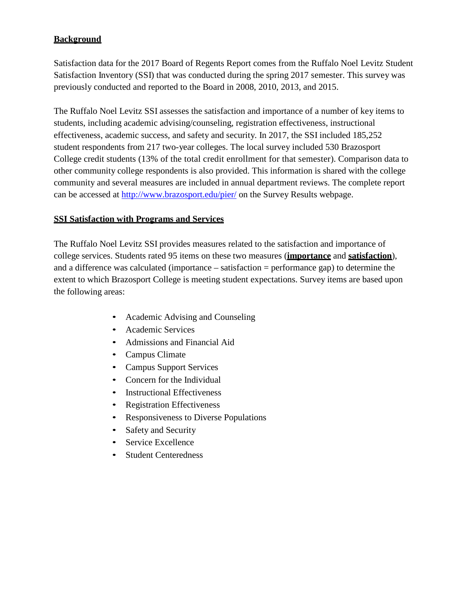# **Background**

Satisfaction data for the 2017 Board of Regents Report comes from the Ruffalo Noel Levitz Student Satisfaction Inventory (SSI) that was conducted during the spring 2017 semester. This survey was previously conducted and reported to the Board in 2008, 2010, 2013, and 2015.

The Ruffalo Noel Levitz SSI assesses the satisfaction and importance of a number of key items to students, including academic advising/counseling, registration effectiveness, instructional effectiveness, academic success, and safety and security. In 2017, the SSI included 185,252 student respondents from 217 two-year colleges. The local survey included 530 Brazosport College credit students (13% of the total credit enrollment for that semester). Comparison data to other community college respondents is also provided. This information is shared with the college community and several measures are included in annual department reviews. The complete report can be accessed at<http://www.brazosport.edu/pier/> on the Survey Results webpage.

## **SSI Satisfaction with Programs and Services**

The Ruffalo Noel Levitz SSI provides measures related to the satisfaction and importance of college services. Students rated 95 items on these two measures (**importance** and **satisfaction**), and a difference was calculated (importance – satisfaction = performance gap) to determine the extent to which Brazosport College is meeting student expectations. Survey items are based upon the following areas:

- Academic Advising and Counseling
- Academic Services
- Admissions and Financial Aid
- Campus Climate
- Campus Support Services
- Concern for the Individual
- Instructional Effectiveness
- Registration Effectiveness
- Responsiveness to Diverse Populations
- Safety and Security
- Service Excellence
- Student Centeredness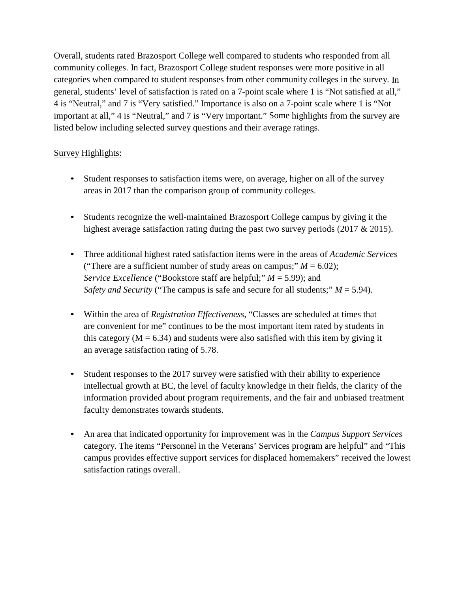Overall, students rated Brazosport College well compared to students who responded from all community colleges. In fact, Brazosport College student responses were more positive in all categories when compared to student responses from other community colleges in the survey. In general, students' level of satisfaction is rated on a 7-point scale where 1 is "Not satisfied at all," 4 is "Neutral," and 7 is "Very satisfied." Importance is also on a 7-point scale where 1 is "Not important at all," 4 is "Neutral," and 7 is "Very important." Some highlights from the survey are listed below including selected survey questions and their average ratings.

## Survey Highlights:

- Student responses to satisfaction items were, on average, higher on all of the survey areas in 2017 than the comparison group of community colleges.
- Students recognize the well-maintained Brazosport College campus by giving it the highest average satisfaction rating during the past two survey periods (2017 & 2015).
- Three additional highest rated satisfaction items were in the areas of *Academic Services*  ("There are a sufficient number of study areas on campus;"  $M = 6.02$ ); *Service Excellence* ("Bookstore staff are helpful;" *M* = 5.99); and *Safety and Security* ("The campus is safe and secure for all students;"  $M = 5.94$ ).
- Within the area of *Registration Effectiveness*, "Classes are scheduled at times that are convenient for me" continues to be the most important item rated by students in this category ( $M = 6.34$ ) and students were also satisfied with this item by giving it an average satisfaction rating of 5.78.
- Student responses to the 2017 survey were satisfied with their ability to experience intellectual growth at BC, the level of faculty knowledge in their fields, the clarity of the information provided about program requirements, and the fair and unbiased treatment faculty demonstrates towards students.
- An area that indicated opportunity for improvement was in the *Campus Support Services* category. The items "Personnel in the Veterans' Services program are helpful" and "This campus provides effective support services for displaced homemakers" received the lowest satisfaction ratings overall.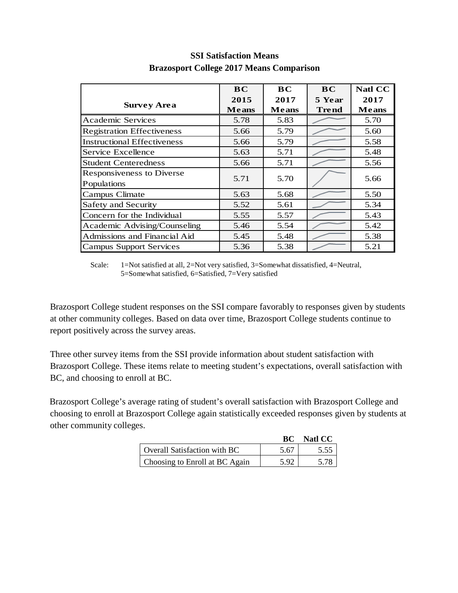|                                    | <b>BC</b>    | BC           | <b>BC</b>    | <b>Natl CC</b> |
|------------------------------------|--------------|--------------|--------------|----------------|
|                                    | 2015         | 2017         | 5 Year       | 2017           |
| <b>Survey Area</b>                 | <b>Means</b> | <b>Means</b> | <b>Trend</b> | <b>Means</b>   |
| <b>Academic Services</b>           | 5.78         | 5.83         |              | 5.70           |
| <b>Registration Effectiveness</b>  | 5.66         | 5.79         |              | 5.60           |
| <b>Instructional Effectiveness</b> | 5.66         | 5.79         |              | 5.58           |
| Service Excellence                 | 5.63         | 5.71         |              | 5.48           |
| <b>Student Centeredness</b>        | 5.66         | 5.71         |              | 5.56           |
| <b>Responsiveness to Diverse</b>   | 5.71         | 5.70         |              | 5.66           |
| Populations                        |              |              |              |                |
| Campus Climate                     | 5.63         | 5.68         |              | 5.50           |
| Safety and Security                | 5.52         | 5.61         |              | 5.34           |
| Concern for the Individual         | 5.55         | 5.57         |              | 5.43           |
| Academic Advising/Counseling       | 5.46         | 5.54         |              | 5.42           |
| Admissions and Financial Aid       | 5.45         | 5.48         |              | 5.38           |
| Campus Support Services            | 5.36         | 5.38         |              | 5.21           |

# **SSI Satisfaction Means Brazosport College 2017 Means Comparison**

Scale: 1=Not satisfied at all, 2=Not very satisfied, 3=Somewhat dissatisfied, 4=Neutral, 5=Somewhat satisfied, 6=Satisfied, 7=Very satisfied

Brazosport College student responses on the SSI compare favorably to responses given by students at other community colleges. Based on data over time, Brazosport College students continue to report positively across the survey areas.

Three other survey items from the SSI provide information about student satisfaction with Brazosport College. These items relate to meeting student's expectations, overall satisfaction with BC, and choosing to enroll at BC.

Brazosport College's average rating of student's overall satisfaction with Brazosport College and choosing to enroll at Brazosport College again statistically exceeded responses given by students at other community colleges.

|                                | RC.  | Natl CC |
|--------------------------------|------|---------|
| Overall Satisfaction with BC   | 5.67 |         |
| Choosing to Enroll at BC Again | 5.92 |         |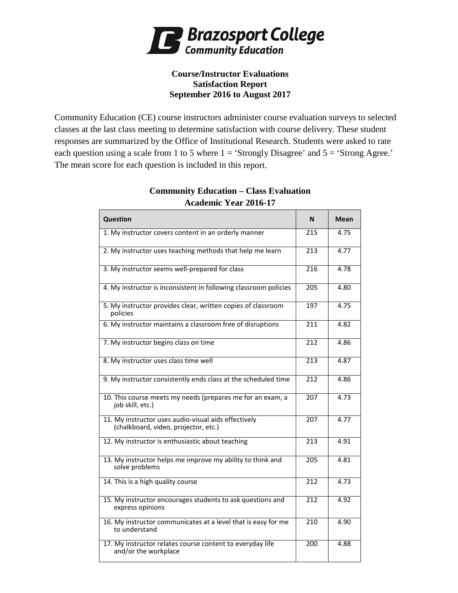

## **Course/Instructor Evaluations Satisfaction Report September 2016 to August 2017**

Community Education (CE) course instructors administer course evaluation surveys to selected classes at the last class meeting to determine satisfaction with course delivery. These student responses are summarized by the Office of Institutional Research. Students were asked to rate each question using a scale from 1 to 5 where  $1 = 'Strongly Disagree'$  and  $5 = 'Strong Agee.'$ The mean score for each question is included in this report.

| <b>Question</b>                                                                              | N                | <b>Mean</b> |
|----------------------------------------------------------------------------------------------|------------------|-------------|
| 1. My instructor covers content in an orderly manner                                         | 215              | 4.75        |
| 2. My instructor uses teaching methods that help me learn                                    | 213              | 4.77        |
| 3. My instructor seems well-prepared for class                                               | 216              | 4.78        |
| 4. My instructor is inconsistent in following classroom policies                             | 205              | 4.80        |
| 5. My instructor provides clear, written copies of classroom<br>policies                     | 197              | 4.75        |
| 6. My instructor maintains a classroom free of disruptions                                   | 211              | 4.82        |
| 7. My instructor begins class on time                                                        | $\overline{212}$ | 4.86        |
| 8. My instructor uses class time well                                                        | 213              | 4.87        |
| 9. My instructor consistently ends class at the scheduled time                               | 212              | 4.86        |
| 10. This course meets my needs (prepares me for an exam, a<br>job skill, etc.)               | $\overline{207}$ | 4.73        |
| 11. My instructor uses audio-visual aids effectively<br>(chalkboard, video, projector, etc.) | 207              | 4.77        |
| 12. My instructor is enthusiastic about teaching                                             | 213              | 4.91        |
| 13. My instructor helps me improve my ability to think and<br>solve problems                 | 205              | 4.81        |
| 14. This is a high quality course                                                            | $\overline{212}$ | 4.73        |
| 15. My instructor encourages students to ask questions and<br>express opinions               | 212              | 4.92        |
| 16. My instructor communicates at a level that is easy for me<br>to understand               | 210              | 4.90        |
| 17. My instructor relates course content to everyday life<br>and/or the workplace            | 200              | 4.88        |

## **Community Education – Class Evaluation Academic Year 2016-17**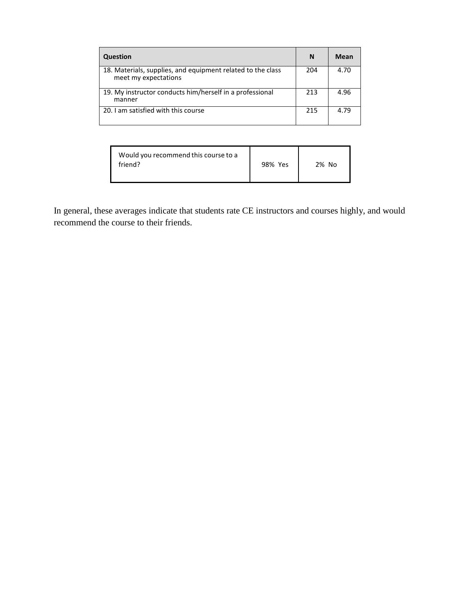| <b>Question</b>                                                                     | N   | Mean |
|-------------------------------------------------------------------------------------|-----|------|
| 18. Materials, supplies, and equipment related to the class<br>meet my expectations | 204 | 4.70 |
| 19. My instructor conducts him/herself in a professional<br>manner                  | 213 | 4.96 |
| 20. I am satisfied with this course                                                 | 215 | 4.79 |

| Would you recommend this course to a<br>friend? | 98% Yes | 2% No |
|-------------------------------------------------|---------|-------|
|-------------------------------------------------|---------|-------|

In general, these averages indicate that students rate CE instructors and courses highly, and would recommend the course to their friends.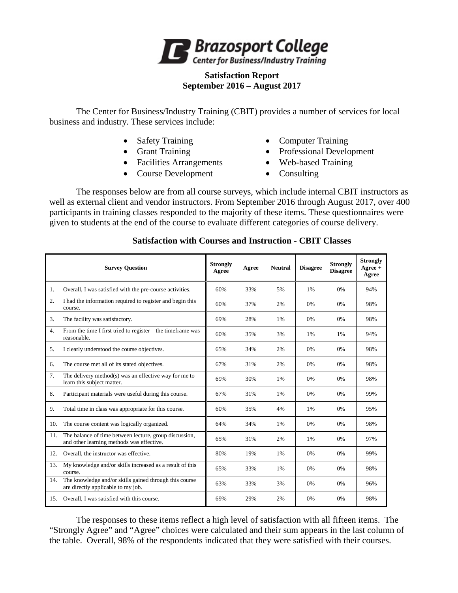

#### **Satisfaction Report September 2016 – August 2017**

The Center for Business/Industry Training (CBIT) provides a number of services for local business and industry. These services include:

- 
- 
- Facilities Arrangements Web-based Training
- Course Development Consulting
- Safety Training Computer Training
- Grant Training Professional Development
	-
	-

The responses below are from all course surveys, which include internal CBIT instructors as well as external client and vendor instructors. From September 2016 through August 2017, over 400 participants in training classes responded to the majority of these items. These questionnaires were given to students at the end of the course to evaluate different categories of course delivery.

|                  | <b>Survey Question</b>                                                                              | <b>Strongly</b><br>Agree | Agree | <b>Neutral</b> | <b>Disagree</b> | <b>Strongly</b><br><b>Disagree</b> | <b>Strongly</b><br>$Ag$ ree +<br>Agree |
|------------------|-----------------------------------------------------------------------------------------------------|--------------------------|-------|----------------|-----------------|------------------------------------|----------------------------------------|
| 1.               | Overall, I was satisfied with the pre-course activities.                                            | 60%                      | 33%   | 5%             | 1%              | 0%                                 | 94%                                    |
| $\overline{2}$ . | I had the information required to register and begin this<br>course.                                | 60%                      | 37%   | 2%             | 0%              | 0%                                 | 98%                                    |
| 3.               | The facility was satisfactory.                                                                      | 69%                      | 28%   | 1%             | 0%              | 0%                                 | 98%                                    |
| 4.               | From the time I first tried to register - the timeframe was<br>reasonable.                          | 60%                      | 35%   | 3%             | 1%              | 1%                                 | 94%                                    |
| 5.               | I clearly understood the course objectives.                                                         | 65%                      | 34%   | 2%             | 0%              | 0%                                 | 98%                                    |
| 6.               | The course met all of its stated objectives.                                                        | 67%                      | 31%   | 2%             | 0%              | 0%                                 | 98%                                    |
| 7.               | The delivery method(s) was an effective way for me to<br>learn this subject matter.                 | 69%                      | 30%   | 1%             | 0%              | 0%                                 | 98%                                    |
| 8.               | Participant materials were useful during this course.                                               | 67%                      | 31%   | 1%             | 0%              | 0%                                 | 99%                                    |
| 9.               | Total time in class was appropriate for this course.                                                | 60%                      | 35%   | 4%             | 1%              | 0%                                 | 95%                                    |
| 10.              | The course content was logically organized.                                                         | 64%                      | 34%   | 1%             | 0%              | 0%                                 | 98%                                    |
| 11.              | The balance of time between lecture, group discussion,<br>and other learning methods was effective. | 65%                      | 31%   | 2%             | 1%              | 0%                                 | 97%                                    |
| 12.              | Overall, the instructor was effective.                                                              | 80%                      | 19%   | 1%             | 0%              | 0%                                 | 99%                                    |
| 13.              | My knowledge and/or skills increased as a result of this<br>course.                                 | 65%                      | 33%   | 1%             | 0%              | 0%                                 | 98%                                    |
| 14.              | The knowledge and/or skills gained through this course<br>are directly applicable to my job.        | 63%                      | 33%   | 3%             | $0\%$           | 0%                                 | 96%                                    |
| 15.              | Overall, I was satisfied with this course.                                                          | 69%                      | 29%   | 2%             | 0%              | 0%                                 | 98%                                    |

## **Satisfaction with Courses and Instruction - CBIT Classes**

The responses to these items reflect a high level of satisfaction with all fifteen items. The "Strongly Agree" and "Agree" choices were calculated and their sum appears in the last column of the table. Overall, 98% of the respondents indicated that they were satisfied with their courses.